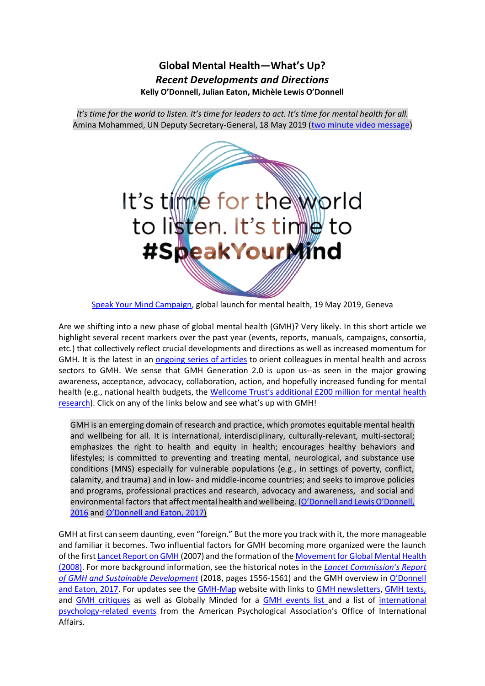# **Global Mental Health—What's Up?** *Recent Developments and Directions* **Kelly O'Donnell, Julian Eaton, Michèle Lewis O'Donnell**

*It's time for the world to listen. It's time for leaders to act. It's time for mental health for all.* Amina Mohammed, UN Deputy Secretary-General, 18 May 2019 [\(two minute video message\)](https://vimeo.com/336858345)



[Speak Your Mind Campaign,](https://www.gospeakyourmind.org/) global launch for mental health, 19 May 2019, Geneva

Are we shifting into a new phase of global mental health (GMH)? Very likely. In this short article we highlight several recent markers over the past year (events, reports, manuals, campaigns, consortia, etc.) that collectively reflect crucial developments and directions as well as increased momentum for GMH. It is the latest in an [ongoing](https://docs.google.com/viewer?a=v&pid=sites&srcid=ZGVmYXVsdGRvbWFpbnxnbWhtYXB8Z3g6NzFlMDlkMmIxZGY4MTJlNA) series of articles to orient colleagues in mental health and across sectors to GMH. We sense that GMH Generation 2.0 is upon us--as seen in the major growing awareness, acceptance, advocacy, collaboration, action, and hopefully increased funding for mental health (e.g., national health budgets, the [Wellcome](https://wellcome.ac.uk/press-release/wellcome-boosts-mental-health-research-extra-%C2%A3200-million) Trust's additional £200 million for mental health [research\)](https://wellcome.ac.uk/press-release/wellcome-boosts-mental-health-research-extra-%C2%A3200-million). Click on any of the links below and see what's up with GMH!

GMH is an emerging domain of research and practice, which promotes equitable mental health and wellbeing for all. It is international, interdisciplinary, culturally-relevant, multi-sectoral; emphasizes the right to health and equity in health; encourages healthy behaviors and lifestyles; is committed to preventing and treating mental, neurological, and substance use conditions (MNS) especially for vulnerable populations (e.g., in settings of poverty, conflict, calamity, and trauma) and in low- and middle-income countries; and seeks to improve policies and programs, professional practices and research, advocacy and awareness, and social and environmental factors that affect mental health and wellbeing. ([O'Donnell and Lewis O'Donnell,](https://www.cambridge.org/core/services/aop-cambridge-core/content/view/DCAED6DE1AA133F8A7D876F3564126A4/S2054425116000224a.pdf/global-mental-health-sharing-and-synthesizing-knowledge-for-sustainable-development.pdf)  [2016](https://www.cambridge.org/core/services/aop-cambridge-core/content/view/DCAED6DE1AA133F8A7D876F3564126A4/S2054425116000224a.pdf/global-mental-health-sharing-and-synthesizing-knowledge-for-sustainable-development.pdf) and [O'Donnell](https://www.medicusmundi.ch/de/bulletin/mms-bulletin/mental-health/global-mental-health/collaborating-across-sectors-forsustainable-development-and-wellbeing) and Eaton, 2017)

GMH at first can seem daunting, even "foreign." But the more you track with it, the more manageable and familiar it becomes. Two influential factors for GMH becoming more organized were the launch of the firs[t Lancet Report on GMH](https://www.thelancet.com/series/global-mental-health) (2007) and the formation of the [Movement for Global Mental Health](http://www.globalmentalhealth.org/) (2008). For more background information, see the historical notes in the *[Lancet Commission's Report](https://www.thelancet.com/journals/lancet/article/PIIS0140-6736(18)31612-X/fulltext)  [of GMH and Sustainable Development](https://www.thelancet.com/journals/lancet/article/PIIS0140-6736(18)31612-X/fulltext)* (2018, pages 1556-1561) and the GMH overview in [O'Donnell](https://www.medicusmundi.ch/de/bulletin/mms-bulletin/mental-health/global-mental-health/collaborating-across-sectors-forsustainable-development-and-wellbeing)  [and Eaton, 2017.](https://www.medicusmundi.ch/de/bulletin/mms-bulletin/mental-health/global-mental-health/collaborating-across-sectors-forsustainable-development-and-wellbeing) For updates see the [GMH-Map](https://sites.google.com/site/gmhmap/) website with links to [GMH newsletters,](https://sites.google.com/site/gmhmap/home/gmh-updates) [GMH texts,](https://sites.google.com/site/gmhmap/home/gmh-texts-journals) and [GMH critiques](https://sites.google.com/site/gmhmap/home/sos-sms) as well as Globally Minded for a [GMH events list](https://www.globallyminded.org/home/global-mental-health-events-list/) and a list of [international](https://www.apa.org/international/resources/events) [psychology-related](https://www.apa.org/international/resources/events) events from the American Psychological Association's Office of International Affairs.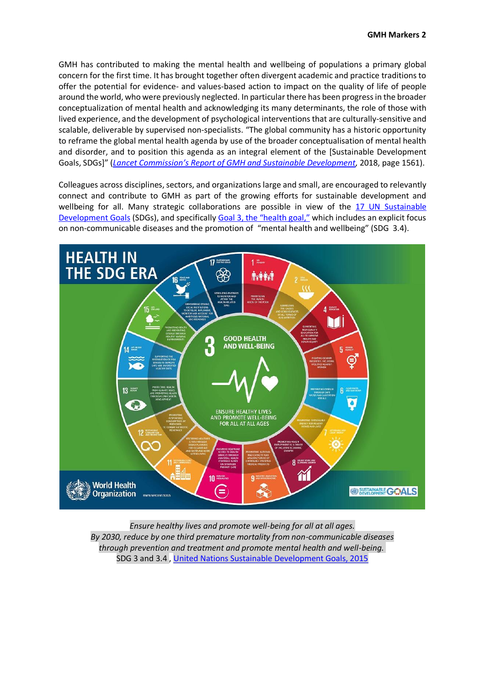GMH has contributed to making the mental health and wellbeing of populations a primary global concern for the first time. It has brought together often divergent academic and practice traditions to offer the potential for evidence- and values-based action to impact on the quality of life of people around the world, who were previously neglected. In particular there has been progressin the broader conceptualization of mental health and acknowledging its many determinants, the role of those with lived experience, and the development of psychological interventions that are culturally-sensitive and scalable, deliverable by supervised non-specialists. "The global community has a historic opportunity to reframe the global mental health agenda by use of the broader conceptualisation of mental health and disorder, and to position this agenda as an integral element of the [Sustainable Development Goals, SDGs]" (*[Lancet Commission's Report of GMH and Sustainable Development](https://www.thelancet.com/journals/lancet/article/PIIS0140-6736(18)31612-X/fulltext),* 2018, page 1561).

Colleagues across disciplines, sectors, and organizations large and small, are encouraged to relevantly connect and contribute to GMH as part of the growing efforts for sustainable development and wellbeing for all. Many strategic collaborations are possible in view of the 17 UN [Sustainable](https://sustainabledevelopment.un.org/post2015/transformingourworld) [Development](https://sustainabledevelopment.un.org/post2015/transformingourworld) Goals (SDGs), and specifically Goal 3, the ["health](https://sustainabledevelopment.un.org/sdg3) goal," which includes an explicit focus on non-communicable diseases and the promotion of "mental health and wellbeing" (SDG 3.4).



*Ensure healthy lives and promote well-being for all at all ages. By 2030, reduce by one third premature mortality from non-communicable diseases through prevention and treatment and promote mental health and well-being.* SDG 3 and 3.4 , United Nations [Sustainable Development Goals, 2015](https://sustainabledevelopment.un.org/sdg3)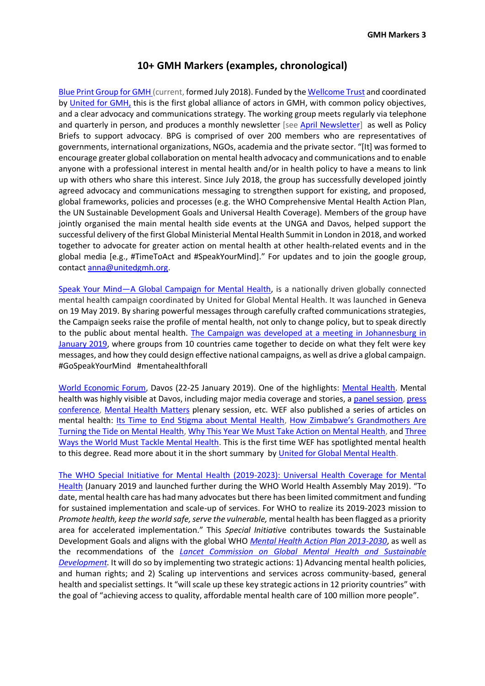### **10+ GMH Markers (examples, chronological)**

[Blue Print Group for GMH](https://unitedgmh.org/index.php/global-advocacy/) (current, formed July 2018). Funded by the [Wellcome](https://wellcome.ac.uk/what-we-do/our-work/mental-health-transforming-research-and-treatments) Trust and coordinated by [United for GMH,](https://unitedgmh.org/) this is the first global alliance of actors in GMH, with common policy objectives, and a clear advocacy and communications strategy. The working group meets regularly via telephone and quarterly in person, and produces a monthly newsletter [see April [Newsletter\]](https://unitedgmh.org/wp-content/uploads/2019/04/BPG-April-Newsletter.pdf) as well as Policy Briefs to support advocacy. BPG is comprised of over 200 members who are representatives of governments, international organizations, NGOs, academia and the private sector. "[It] was formed to encourage greater global collaboration on mental health advocacy and communications and to enable anyone with a professional interest in mental health and/or in health policy to have a means to link up with others who share this interest. Since July 2018, the group has successfully developed jointly agreed advocacy and communications messaging to strengthen support for existing, and proposed, global frameworks, policies and processes (e.g. the WHO Comprehensive Mental Health Action Plan, the UN Sustainable Development Goals and Universal Health Coverage). Members of the group have jointly organised the main mental health side events at the UNGA and Davos, helped support the successful delivery of the first Global Ministerial Mental Health Summit in London in 2018, and worked together to advocate for greater action on mental health at other health-related events and in the global media [e.g., #TimeToAct and #SpeakYourMind]." For updates and to join the google group, contact [anna@unitedgmh.org.](mailto:anna@unitedgmh.org)

Speak Your Mind—[A Global Campaign for Mental Health,](https://www.gospeakyourmind.org/) is a nationally driven globally connected mental health campaign coordinated by United for Global Mental Health. It was launched in Geneva on 19 May 2019. By sharing powerful messages through carefully crafted communications strategies, the Campaign seeks raise the profile of mental health, not only to change policy, but to speak directly to the public about mental health. [The Campaign was developed at a meeting in Johannesburg in](https://unitedgmh.org/index.php/2019/02/18/nationally-driven-globally-united-campaign-takes-shape-in-johannesburg/)  [January 2019,](https://unitedgmh.org/index.php/2019/02/18/nationally-driven-globally-united-campaign-takes-shape-in-johannesburg/) where groups from 10 countries came together to decide on what they felt were key messages, and how they could design effective national campaigns, as well as drive a global campaign. #GoSpeakYourMind #mentahealthforall

[World Economic Forum,](https://www.weforum.org/focus/davos-2019) Davos (22-25 January 2019). One of the highlights: [Mental Health.](https://unitedgmh.org/index.php/2019/01/28/mental-health-at-davos-signs-of-hope/) Mental health was highly visible at Davos, including major media coverage and stories, a panel [session,](https://www.weforum.org/events/world-economic-forum-annual-meeting/sessions/mental-health-matters-3c8decd8-c22d-42cb-acdf-445326d92225) [press](https://www.weforum.org/events/world-economic-forum-annual-meeting/sessions/a0W0X00000EUKjGUAX) [conference,](https://www.weforum.org/events/world-economic-forum-annual-meeting/sessions/a0W0X00000EUKjGUAX) Mental Health [Matters](https://www.weforum.org/events/world-economic-forum-annual-meeting/sessions/mental-health-matters-3c8decd8-c22d-42cb-acdf-445326d92225) plenary session, etc. WEF also published a series of articles on mental health: [Its Time to End Stigma about Mental Health,](https://www.weforum.org/agenda/2019/01/its-time-to-end-the-stigma-surrounding-mental-health/) How [Zimbabwe's Grandmothe](https://www.weforum.org/agenda/2019/01/zimbabwe-grandmothers-mental-health/)rs Are [Turning the Tide on Mental Health,](https://www.weforum.org/agenda/2019/01/zimbabwe-grandmothers-mental-health/) [Why This Year We Must Take Action on Mental Health,](https://www.weforum.org/agenda/2019/01/lets-make-2019-the-year-we-take-action-on-mental-health) and [Three](https://www.weforum.org/agenda/2019/01/three-ways-to-mobilize-for-mental-health/)  [Ways the World Must Tackle Mental Health.](https://www.weforum.org/agenda/2019/01/three-ways-to-mobilize-for-mental-health/) This is the first time WEF has spotlighted mental health to this degree. Read more about it in the short summary by [United for Global Mental Health.](https://unitedgmh.org/index.php/2019/01/28/mental-health-at-davos-signs-of-hope/)

[The WHO Special Initiative for Mental Health \(2019-2023\): Universal Health Coverage for Mental](https://apps.who.int/iris/handle/10665/310981)  [Health](https://apps.who.int/iris/handle/10665/310981) (January 2019 and launched further during the WHO World Health Assembly May 2019). "To date, mental health care has had many advocates but there has been limited commitment and funding for sustained implementation and scale-up of services. For WHO to realize its 2019-2023 mission to *Promote health, keep the world safe, serve the vulnerable,* mental health has been flagged as a priority area for accelerated implementation." This *Special Initiativ*e contributes towards the Sustainable Development Goals and aligns with the global WHO *[Mental Health Action Plan 2013-2030](https://www.who.int/mental_health/action_plan_2013/en/)*, as well as the recommendations of the *[Lancet Commission on Global Mental Health and Sustainable](https://www.mhinnovation.net/resources/policy-brief-lancet-commission-global-mental-health-and-sustainable-development)  [Development.](https://www.mhinnovation.net/resources/policy-brief-lancet-commission-global-mental-health-and-sustainable-development)* It will do so by implementing two strategic actions: 1) Advancing mental health policies, and human rights; and 2) Scaling up interventions and services across community-based, general health and specialist settings. It "will scale up these key strategic actions in 12 priority countries" with the goal of "achieving access to quality, affordable mental health care of 100 million more people".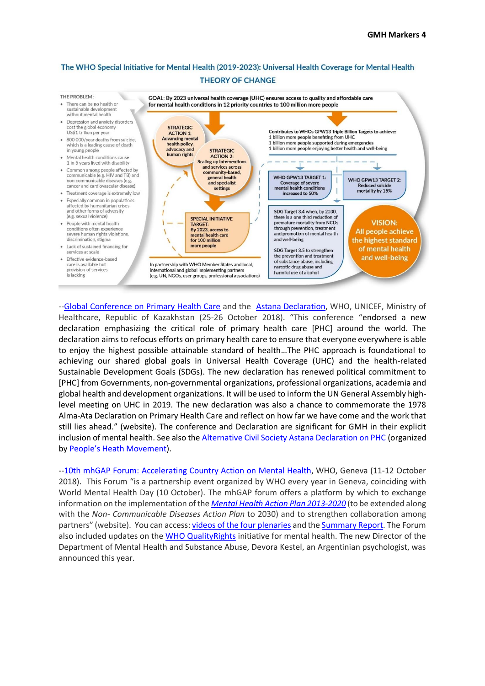#### The WHO Special Initiative for Mental Health (2019-2023): Universal Health Coverage for Mental Health **THEORY OF CHANGE**



-[-Global Conference on Primary Health Care](https://www.who.int/primary-health/conference-phc) and the [Astana Declaration,](https://www.who.int/docs/default-source/primary-health/declaration/gcphc-declaration.pdf) WHO, UNICEF, Ministry of Healthcare, Republic of Kazakhstan (25-26 October 2018). "This conference "endorsed a new declaration emphasizing the critical role of primary health care [PHC] around the world. The declaration aims to refocus efforts on primary health care to ensure that everyone everywhere is able to enjoy the highest possible attainable standard of health…The PHC approach is foundational to achieving our shared global goals in Universal Health Coverage (UHC) and the health-related Sustainable Development Goals (SDGs). The new declaration has renewed political commitment to [PHC] from Governments, non-governmental organizations, professional organizations, academia and global health and development organizations. It will be used to inform the UN General Assembly highlevel meeting on UHC in 2019. The new declaration was also a chance to commemorate the 1978 Alma-Ata Declaration on Primary Health Care and reflect on how far we have come and the work that still lies ahead." (website). The conference and Declaration are significant for GMH in their explicit inclusion of mental health. See also the [Alternative Civil Society Astana Declaration on PHC](https://phmovement.org/wp-content/uploads/2018/10/AlternativeCSAstanadeclaration11Oct.pdf) (organized by [People's Heath Movement](https://phmovement.org/)).

-[-10th mhGAP Forum: Accelerating Country Action on Mental Health,](https://www.who.int/mental_health/mhgap/forum_2018/en/) WHO, Geneva (11-12 October 2018). This Forum "is a partnership event organized by WHO every year in Geneva, coinciding with World Mental Health Day (10 October). The mhGAP forum offers a platform by which to exchange information on the implementation of the *Mental Health Action Plan [2013-2020](https://www.who.int/mental_health/publications/action_plan/en/)* (to be extended along with the *Non- Communicable Diseases Action Plan* to 2030) and to strengthen collaboration among partners" (website). You can access: [videos of the four plenaries](https://www.who.int/mental_health/mhgap/forum_2018/en/) and th[e Summary Report.](https://www.who.int/mental_health/mhgap/Report_2018.pdf?ua=1) The Forum also included updates on the [WHO QualityRights](https://www.who.int/mental_health/policy/quality_rights/en/) initiative for mental health. The new Director of the Department of Mental Health and Substance Abuse, Devora Kestel, an Argentinian psychologist, was announced this year.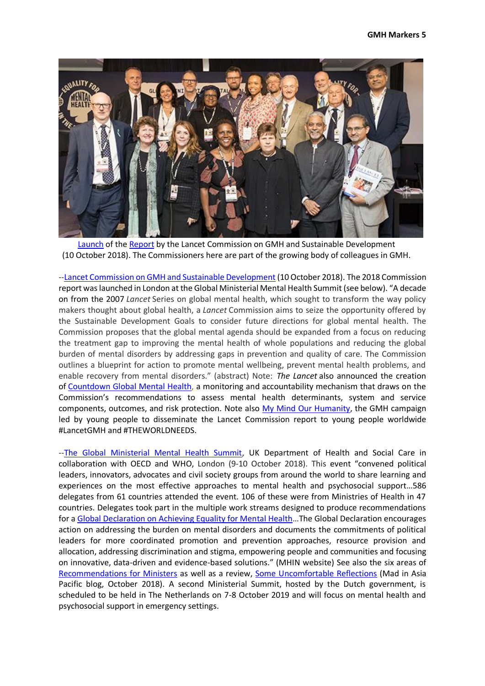

[Launch](https://unitedgmh.org/index.php/2018/10/10/lancet-commission-on-global-mental-health-launches/) of the [Report](https://www.thelancet.com/commissions/global-mental-health) by the Lancet Commission on GMH and Sustainable Development (10 October 2018). The Commissioners here are part of the growing body of colleagues in GMH.

-[-Lancet Commission on GMH and Sustainable Development](https://www.thelancet.com/commissions/global-mental-health) (10 October 2018). The 2018 Commission report was launched in London at the Global Ministerial Mental Health Summit (see below). "A decade on from the 2007 *Lancet* Series on global mental health, which sought to transform the way policy makers thought about global health, a *Lancet* Commission aims to seize the opportunity offered by the Sustainable Development Goals to consider future directions for global mental health. The Commission proposes that the global mental agenda should be expanded from a focus on reducing the treatment gap to improving the mental health of whole populations and reducing the global burden of mental disorders by addressing gaps in prevention and quality of care. The Commission outlines a blueprint for action to promote mental wellbeing, prevent mental health problems, and enable recovery from mental disorders." (abstract) Note: *The Lancet* also announced the creation of [Countdown](https://www.thelancet.com/journals/lancet/article/PIIS0140-6736(19)30424-6/fulltext) Global Mental Health, a monitoring and accountability mechanism that draws on the Commission's recommendations to assess mental health determinants, system and service components, outcomes, and risk protection. Note also [My Mind Our Humanity,](https://globalmentalhealthcommission.org/youth-campaign/) the GMH campaign led by young people to disseminate the Lancet Commission report to young people worldwide #LancetGMH and #THEWORLDNEEDS.

-[-The Global Ministerial Mental Health Summit,](https://www.centreforglobalmentalhealth.org/news/cgmh-at-the-global-ministerial-mental-health-summit) UK Department of Health and Social Care in collaboration with OECD and WHO, London (9-10 October 2018). This event "convened political leaders, innovators, advocates and civil society groups from around the world to share learning and experiences on the most effective approaches to mental health and psychosocial support…586 delegates from 61 countries attended the event. 106 of these were from Ministries of Health in 47 countries. Delegates took part in the multiple work streams designed to produce recommendations for a [Global Declaration on Achieving Equality for Mental Health](https://www.mhinnovation.net/sites/default/files/downloads/resource/global-declaration-on-achieving-equality-for-mental-health-5bbdd2bd853bc.pdf)…The Global Declaration encourages action on addressing the burden on mental disorders and documents the commitments of political leaders for more coordinated promotion and prevention approaches, resource provision and allocation, addressing discrimination and stigma, empowering people and communities and focusing on innovative, data-driven and evidence-based solutions." (MHIN website) See also the six areas of [Recommendations for Ministers](https://www.mhinnovation.net/sites/default/files/downloads/resource/recommendations-to-ministers-5bbdd295520ba.pdf) as well as a review, [Some Uncomfortable Reflections](https://madinasia.org/2018/10/the-global-ministerial-mental-health-summit-and-the-lancet-commission-some-uncomfortable-reflections/) (Mad in Asia Pacific blog, October 2018). A second Ministerial Summit, hosted by the Dutch government, is scheduled to be held in The Netherlands on 7-8 October 2019 and will focus on mental health and psychosocial support in emergency settings.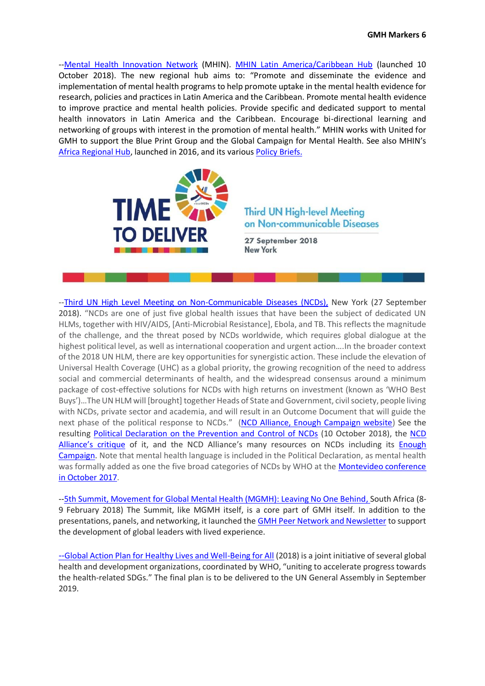-[-Mental Health Innovation Network](https://www.mhinnovation.net/) (MHIN). [MHIN Latin America/Caribbean Hub](https://www.mhinnovation.net/collaborations/mhin-latin-america-and-caribbean) (launched 10 October 2018). The new regional hub aims to: "Promote and disseminate the evidence and implementation of mental health programs to help promote uptake in the mental health evidence for research, policies and practices in Latin America and the Caribbean. Promote mental health evidence to improve practice and mental health policies. Provide specific and dedicated support to mental health innovators in Latin America and the Caribbean. Encourage bi-directional learning and networking of groups with interest in the promotion of mental health." MHIN works with United for GMH to support the Blue Print Group and the Global Campaign for Mental Health. See also MHIN's [Africa Regional Hub,](https://www.mhinnovation.net/blog/2018/aug/24/%E2%80%9Cmore-powerful-together%E2%80%9D-%E2%80%93-celebrating-launch-mhin-africas-hub) launched in 2016, and its various [Policy](https://www.mhinnovation.net/find?search_api_views_fulltext=brief&sort_by=search_api_relevance_1) Briefs.



## **Third UN High-level Meeting** on Non-communicable Diseases

27 September 2018 **New York** 

-[-Third UN High Level Meeting on Non-Communicable Diseases](https://www.who.int/ncds/governance/third-un-meeting/en/) (NCDs), New York (27 September 2018). "NCDs are one of just five global health issues that have been the subject of dedicated UN HLMs, together with HIV/AIDS, [Anti-Microbial Resistance], Ebola, and TB. This reflects the magnitude of the challenge, and the threat posed by NCDs worldwide, which requires global dialogue at the highest political level, as well as international cooperation and urgent action….In the broader context of the 2018 UN HLM, there are key opportunities for synergistic action. These include the elevation of Universal Health Coverage (UHC) as a global priority, the growing recognition of the need to address social and commercial determinants of health, and the widespread consensus around a minimum package of cost-effective solutions for NCDs with high returns on investment (known as 'WHO Best Buys')…The UN HLM will [brought] together Heads of State and Government, civil society, people living with NCDs, private sector and academia, and will result in an Outcome Document that will guide the next phase of the political response to NCDs." ([NCD Alliance, Enough Campaign website\)](https://enoughncds.com/un-hlm-on-ncds/) See the resulting Political Declaration [on the Prevention and Control of NCDs](https://www.un.org/en/ga/search/view_doc.asp?symbol=A/RES/73/2) (10 October 2018), the [NCD](https://ncdalliance.org/news-events/news/media-release-un-ncd-political-declaration-in-a-sick-and-sorry-state)  Alliance'[s critique](https://ncdalliance.org/news-events/news/media-release-un-ncd-political-declaration-in-a-sick-and-sorry-state) of it, and the NCD Alliance's many resources on NCDs including its **Enough** [Campaign.](https://enoughncds.com/) Note that mental health language is included in the Political Declaration, as mental health was formally added as one the five broad categories of NCDs by WHO at the [Montevideo conference](https://www.who.int/nmh/events/2017/montevideo/about/en/)  [in October 2017.](https://www.who.int/nmh/events/2017/montevideo/about/en/)

-[-5th Summit, Movement for Global Mental Health \(MGMH\): Leaving No One Behind,](https://www.mhinnovation.net/sites/default/files/files/5th%20Global%20Mental%20Health%20Summit%20INFO(1).pdf) South Africa (8- 9 February 2018) The Summit, like MGMH itself, is a core part of GMH itself. In addition to the presentations, panels, and networking, it launched th[e GMH Peer Network and Newsletter](http://2oshf.r.ca.d.sendibm2.com/mk/mr/qcK1rhOkuH4d27jOS8GYhTNjWSoSWq3OmhX7nOCvJLxUQ62wJy5U8r4BhzKI7suGmqNnvKjlw_MWz_XsN4fLgJxqdt1BWLt4OlDEZUmUh7j7-Xg?fbclid=IwAR07vPU4eUBuBV7xu7o8XoZk9YX2mHNFrZI9DKFq4A22Kl5R3OkpnbVeyeg) to support the development of global leaders with lived experience.

--[Global Action Plan for Healthy Lives and Well-Being for All](https://www.who.int/sdg/global-action-plan) (2018) is a joint initiative of several global health and development organizations, coordinated by WHO, "uniting to accelerate progress towards the health-related SDGs." The final plan is to be delivered to the UN General Assembly in September 2019.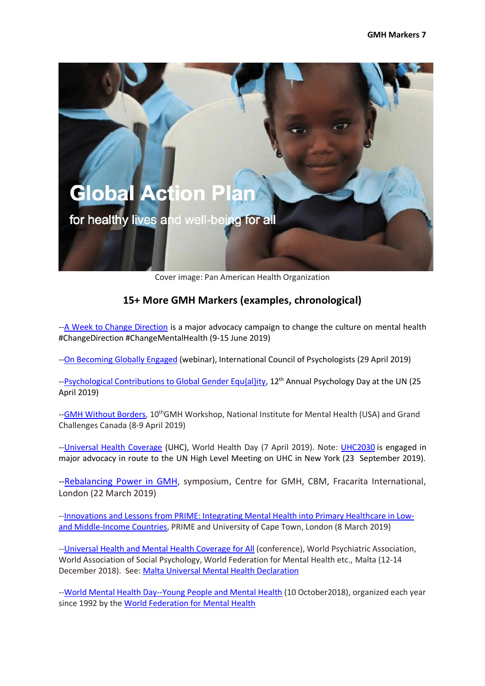

Cover image: Pan American Health Organization

# **15+ More GMH Markers (examples, chronological)**

-[-A Week to Change Direction](https://www.changedirection.org/a-week-to-change-direction/) is a major advocacy campaign to change the culture on mental health #ChangeDirection #ChangeMentalHealth (9-15 June 2019)

--On [Becoming](https://www.icpweb.org/images/webinars/StevensPerezWebinar.pdf) Globally Engaged (webinar), International Council of Psychologists (29 April 2019)

-[-Psychological Contributions to Global Gender Equ{al}ity,](https://www.unpsychologyday.com/) 12<sup>th</sup> Annual Psychology Day at the UN (25 April 2019)

-[-GMH Without Borders,](https://www.nimhgmhconference.com/) 10<sup>th</sup>GMH Workshop, National Institute for Mental Health (USA) and Grand Challenges Canada (8-9 April 2019)

-[-Universal Health Coverage](https://www.who.int/campaigns/world-health-day/world-health-day-2019) (UHC), World Health Day (7 April 2019). Note: [UHC2030](https://www.uhc2030.org/) is engaged in major advocacy in route to the UN High Level Meeting on UHC in New York (23 September 2019).

-[-Rebalancing Power in GMH,](https://www.lshtm.ac.uk/newsevents/events/rebalancing-power-global-mental-health) symposium, Centre for GMH, CBM, Fracarita International, London (22 March 2019)

-[-Innovations and Lessons from PRIME: Integrating Mental Health into Primary Healthcare in Low](http://www.prime.uct.ac.za/innovations_and_learnings)[and Middle-Income](http://www.prime.uct.ac.za/innovations_and_learnings) Countries, PRIME and University of Cape Town, London (8 March 2019)

--Universal Health [and Mental Health Coverage for All](https://www.uhmhcongress2018.net/) (conference), World Psychiatric Association, World Association of Social Psychology, World Federation for Mental Health etc., Malta (12-14 December 2018). See: [Malta Universal Mental Health Declaration](http://theworlddignityproject.org/maltadeclaration/?dm_i=4XVQ,352S,17S2FJ,A9CL,1)

-[-World Mental Health Day--Young People and Mental Health](https://wfmh.global/world-mental-health-day-2018/) (10 October2018), organized each year since 1992 by the [World Federation for Mental Health](https://wfmh.global/)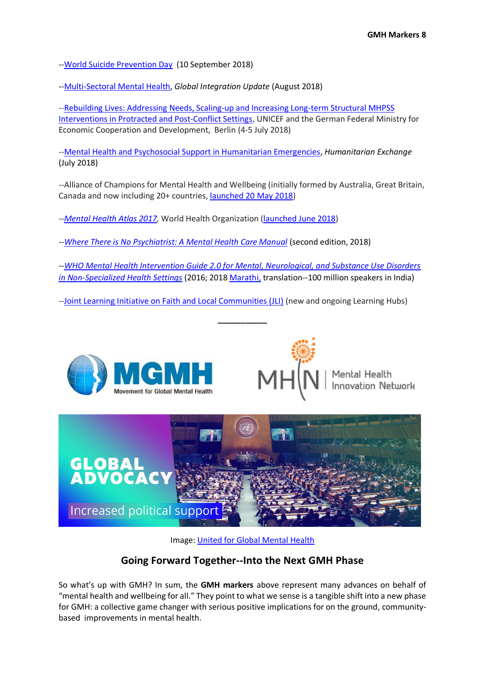-[-World Suicide Prevention Day](https://iasp.info/wspd2018/) (10 September 2018)

-[-Multi-Sectoral Mental Health,](https://mailchi.mp/07a77f2dab8a/global-integration-update-special-news-1255225) *Global Integration Update* (August 2018)

--Rebuilding Lives: Addressing [Needs, Scaling-up and Increasing Long-term Structural MHPSS](https://app.mhpss.net/resource/rebuildling-lives-expert-meeting-berlin-4-5-july-2018-report?fbclid=IwAR3lLl8nhNhKugYpfItGAKGoRu4XPLP_n2ZS32wxmlsnpXY9-zjYg4hs7S8)  [Interventions in Protracted and Post-Conflict Settings,](https://app.mhpss.net/resource/rebuildling-lives-expert-meeting-berlin-4-5-july-2018-report?fbclid=IwAR3lLl8nhNhKugYpfItGAKGoRu4XPLP_n2ZS32wxmlsnpXY9-zjYg4hs7S8) UNICEF and the German Federal Ministry for Economic Cooperation and Development, Berlin (4-5 July 2018)

-[-Mental Health and Psychosocial Support in Humanitarian Emergencies,](https://odihpn.org/magazine/mental-health-and-psychosocial-support-in-humanitarian-crises/) *Humanitarian Exchange* (July 2018)

--Alliance of Champions for Mental Health and Wellbeing (initially formed by Australia, Great Britain, Canada and now including 20+ countries, [launched 20 May 2018\)](https://www.canada.ca/en/public-health/news/2018/05/government-of-canada-co-founds-alliance-of-champions-for-mental-health-and-wellbeing.html)

--*[Mental Health Atlas 2017,](https://www.who.int/mental_health/evidence/atlas/mental_health_atlas_2017/en/)* World Health Organization [\(launched June](https://www.who.int/mental_health/evidence/atlas/atlas_2017_web_note/en/) 2018)

--*[Where There is No Psychiatrist: A Mental Health Care Manual](https://www.cambridge.org/core/books/where-there-is-no-psychiatrist/47578A845CAFC7E23A181749A4190B54)* (second edition, 2018)

--*[WHO Mental Health Intervention Guide 2.0 for Mental, Neurological, and Substance Use Disorders](https://www.who.int/mental_health/mhgap/mhGAP_intervention_guide_02/en/)  [in Non-Specialized Health Settings](https://www.who.int/mental_health/mhgap/mhGAP_intervention_guide_02/en/)* (2016; 2018 [Marathi,](https://apps.who.int/iris/bitstream/handle/10665/250239/9789241549790-mar.pdf?ua=1) translation--100 million speakers in India)

**\_\_\_\_\_\_\_\_\_\_\_**

-[-Joint Learning Initiative on Faith and Local Communities \(JLI\)](https://jliflc.com/) (new and ongoing Learning Hubs)





Mental Health<br>Innovation Network



Image: [United for Global Mental Health](https://unitedgmh.org/index.php/global-advocacy/)

### **Going Forward Together--Into the Next GMH Phase**

So what's up with GMH? In sum, the **GMH markers** above represent many advances on behalf of "mental health and wellbeing for all." They point to what we sense is a tangible shift into a new phase for GMH: a collective game changer with serious positive implications for on the ground, communitybased improvements in mental health.